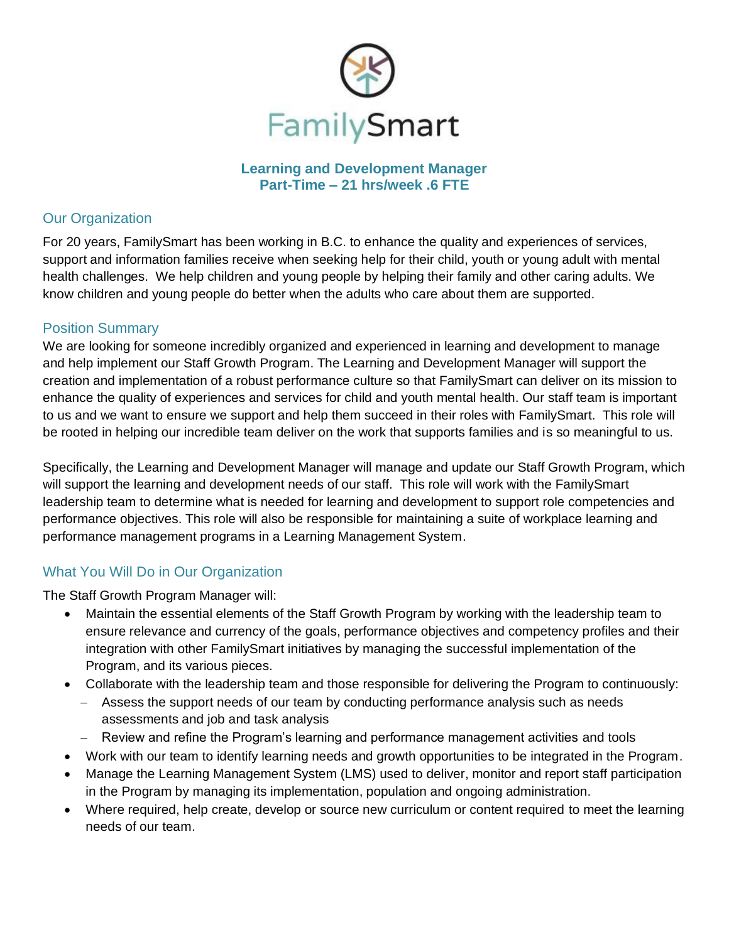

**Learning and Development Manager Part-Time – 21 hrs/week .6 FTE**

## Our Organization

For 20 years, FamilySmart has been working in B.C. to enhance the quality and experiences of services, support and information families receive when seeking help for their child, youth or young adult with mental health challenges. We help children and young people by helping their family and other caring adults. We know children and young people do better when the adults who care about them are supported.

## Position Summary

We are looking for someone incredibly organized and experienced in learning and development to manage and help implement our Staff Growth Program. The Learning and Development Manager will support the creation and implementation of a robust performance culture so that FamilySmart can deliver on its mission to enhance the quality of experiences and services for child and youth mental health. Our staff team is important to us and we want to ensure we support and help them succeed in their roles with FamilySmart. This role will be rooted in helping our incredible team deliver on the work that supports families and is so meaningful to us.

Specifically, the Learning and Development Manager will manage and update our Staff Growth Program, which will support the learning and development needs of our staff. This role will work with the FamilySmart leadership team to determine what is needed for learning and development to support role competencies and performance objectives. This role will also be responsible for maintaining a suite of workplace learning and performance management programs in a Learning Management System.

# What You Will Do in Our Organization

The Staff Growth Program Manager will:

- Maintain the essential elements of the Staff Growth Program by working with the leadership team to ensure relevance and currency of the goals, performance objectives and competency profiles and their integration with other FamilySmart initiatives by managing the successful implementation of the Program, and its various pieces.
- Collaborate with the leadership team and those responsible for delivering the Program to continuously:
	- − Assess the support needs of our team by conducting performance analysis such as needs assessments and job and task analysis
	- − Review and refine the Program's learning and performance management activities and tools
- Work with our team to identify learning needs and growth opportunities to be integrated in the Program.
- Manage the Learning Management System (LMS) used to deliver, monitor and report staff participation in the Program by managing its implementation, population and ongoing administration.
- Where required, help create, develop or source new curriculum or content required to meet the learning needs of our team.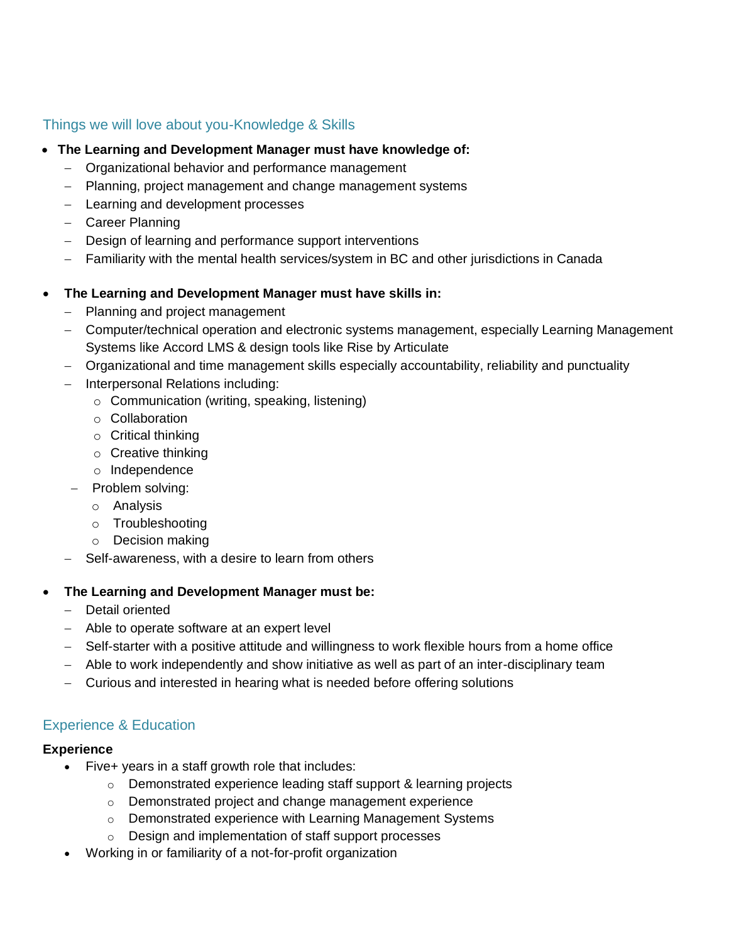### Things we will love about you-Knowledge & Skills

- **The Learning and Development Manager must have knowledge of:**
	- − Organizational behavior and performance management
	- − Planning, project management and change management systems
	- − Learning and development processes
	- − Career Planning
	- − Design of learning and performance support interventions
	- − Familiarity with the mental health services/system in BC and other jurisdictions in Canada

## • **The Learning and Development Manager must have skills in:**

- − Planning and project management
- − Computer/technical operation and electronic systems management, especially Learning Management Systems like Accord LMS & design tools like Rise by Articulate
- − Organizational and time management skills especially accountability, reliability and punctuality
- − Interpersonal Relations including:
	- o Communication (writing, speaking, listening)
	- o Collaboration
	- $\circ$  Critical thinking
	- o Creative thinking
	- o Independence
- − Problem solving:
	- o Analysis
	- o Troubleshooting
	- o Decision making
- Self-awareness, with a desire to learn from others

# • **The Learning and Development Manager must be:**

- − Detail oriented
- − Able to operate software at an expert level
- − Self-starter with a positive attitude and willingness to work flexible hours from a home office
- − Able to work independently and show initiative as well as part of an inter-disciplinary team
- − Curious and interested in hearing what is needed before offering solutions

# Experience & Education

# **Experience**

- Five+ years in a staff growth role that includes:
	- o Demonstrated experience leading staff support & learning projects
	- o Demonstrated project and change management experience
	- o Demonstrated experience with Learning Management Systems
	- o Design and implementation of staff support processes
- Working in or familiarity of a not-for-profit organization